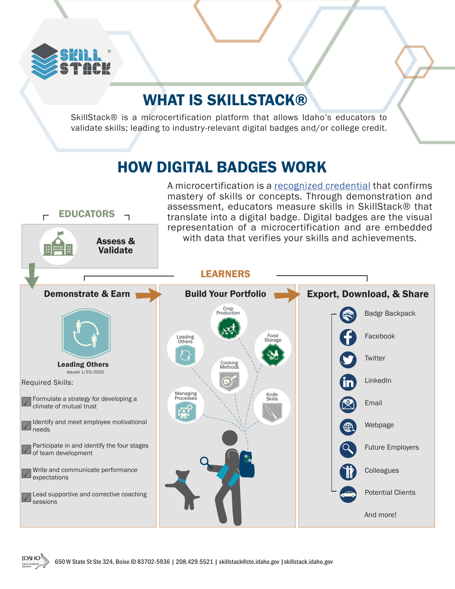

**IDAHO** 

#### WHAT IS SKILLSTACK®

SkillStack® is a microcertification platform that allows Idaho's educators to validate skills; leading to industry-relevant digital badges and/or college credit.

#### HOW DIGITAL BADGES WORK

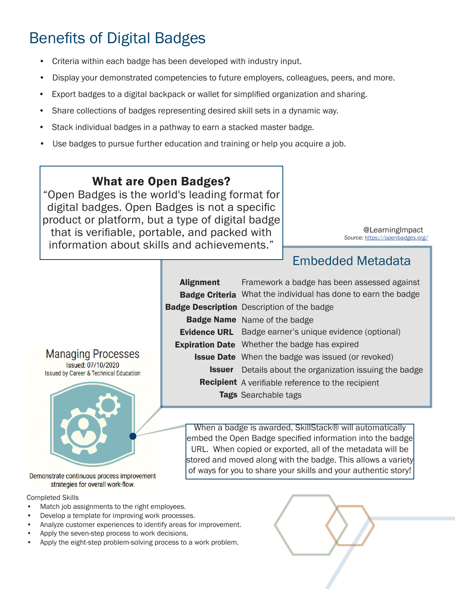# Benefits of Digital Badges

- Criteria within each badge has been developed with industry input.
- Display your demonstrated competencies to future employers, colleagues, peers, and more.
- Export badges to a digital backpack or wallet for simplified organization and sharing.
- Share collections of badges representing desired skill sets in a dynamic way.
- Stack individual badges in a pathway to earn a stacked master badge.
- Use badges to pursue further education and training or help you acquire a job.

#### What are Open Badges?

"Open Badges is the world's leading format for digital badges. Open Badges is not a specific product or platform, but a type of digital badge that is verifiable, portable, and packed with information about skills and achievements."

*Source: https://openbadges.org/* @LearningImpact

#### Embedded Metadata

| <b>Alignment</b> | Framework a badge has been assessed against                          |
|------------------|----------------------------------------------------------------------|
|                  | <b>Badge Criteria</b> What the individual has done to earn the badge |
|                  | <b>Badge Description</b> Description of the badge                    |
|                  | <b>Badge Name</b> Name of the badge                                  |
|                  | <b>Evidence URL</b> Badge earner's unique evidence (optional)        |
|                  | <b>Expiration Date</b> Whether the badge has expired                 |
|                  | <b>Issue Date</b> When the badge was issued (or revoked)             |
|                  | <b>Issuer</b> Details about the organization issuing the badge       |
|                  | <b>Recipient</b> A verifiable reference to the recipient             |
|                  | <b>Tags</b> Searchable tags                                          |

When a badge is awarded, SkillStack® will automatically embed the Open Badge specified information into the badge URL. When copied or exported, all of the metadata will be stored and moved along with the badge. This allows a variety of ways for you to share your skills and your authentic story!

Demonstrate continuous process improvement strategies for overall work-flow.

**Managing Processes** Issued: 07/10/2020 **Issued by Career & Technical Education** 

Completed Skills

- Match job assignments to the right employees.
- Develop a template for improving work processes.
- Analyze customer experiences to identify areas for improvement.
- Apply the seven-step process to work decisions.
- Apply the eight-step problem-solving process to a work problem.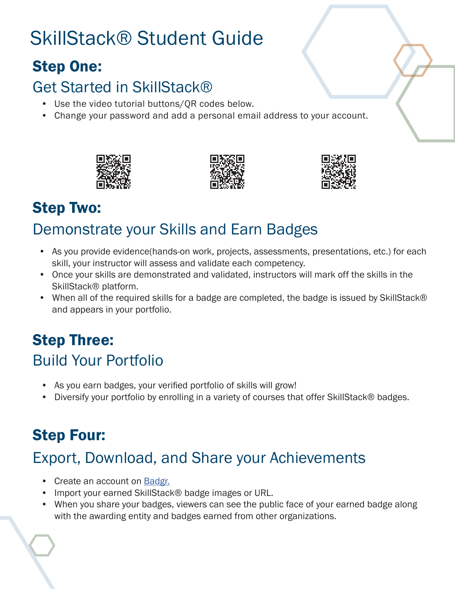# SkillStack® Student Guide

### Step One:

### Get Started in SkillStack®

- Use the video tutorial buttons/QR codes below.
- Change your password and add a personal email address to your account.







# Step Two:

# Demonstrate your Skills and Earn Badges

- As you provide evidence(hands-on work, projects, assessments, presentations, etc.) for each skill, your instructor will assess and validate each competency.
- Once your skills are demonstrated and validated, instructors will mark off the skills in the SkillStack® platform.
- When all of the required skills for a badge are completed, the badge is issued by SkillStack® and appears in your portfolio.

# Build Your Portfolio Step Three:

- As you earn badges, your verified portfolio of skills will grow!
- Diversify your portfolio by enrolling in a variety of courses that offer SkillStack® badges.

# Step Four:

# Export, Download, and Share your Achievements

- Create an account on Badgr.
- Import your earned SkillStack® badge images or URL.
- When you share your badges, viewers can see the public face of your earned badge along with the awarding entity and badges earned from other organizations.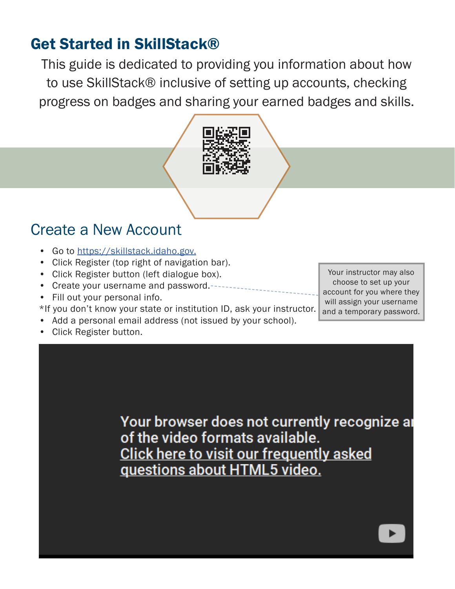#### Get Started in SkillStack®

This guide is dedicated to providing you information about how to use SkillStack® inclusive of setting up accounts, checking progress on badges and sharing your earned badges and skills.



#### Create a New Account

- Go to https://skillstack.idaho.gov.
- Click Register (top right of navigation bar).
- Click Register button (left dialogue box).
- Create your username and password.
- Fill out your personal info.
- \*If you don't know your state or institution ID, ask your instructor.
- Add a personal email address (not issued by your school).
- Click Register button.

Your instructor may also choose to set up your account for you where they will assign your username and a temporary password.

Your browser does not currently recognize ar of the video formats available. Click here to visit our frequently asked questions about HTML5 video.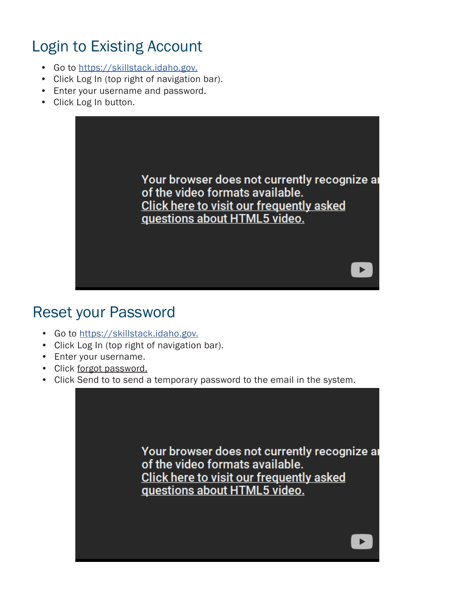### Login to Existing Account

- Go to https://skillstack.idaho.gov.
- Click Log In (top right of navigation bar).
- Enter your username and password.
- Click Log In button.



#### Reset your Password

- Go to https://skillstack.idaho.gov.
- Click Log In (top right of navigation bar).
- Enter your username.
- Click forgot password.
- Click Send to to send a temporary password to the email in the system.

Your browser does not currently recognize ar of the video formats available. Click here to visit our frequently asked questions about HTML5 video.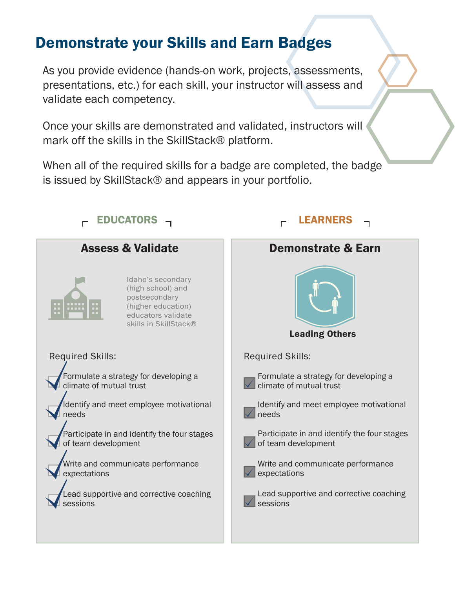#### Demonstrate your Skills and Earn Badges

As you provide evidence (hands-on work, projects, assessments, presentations, etc.) for each skill, your instructor will assess and validate each competency.

Once your skills are demonstrated and validated, instructors will mark off the skills in the SkillStack® platform.

When all of the required skills for a badge are completed, the badge is issued by SkillStack® and appears in your portfolio.

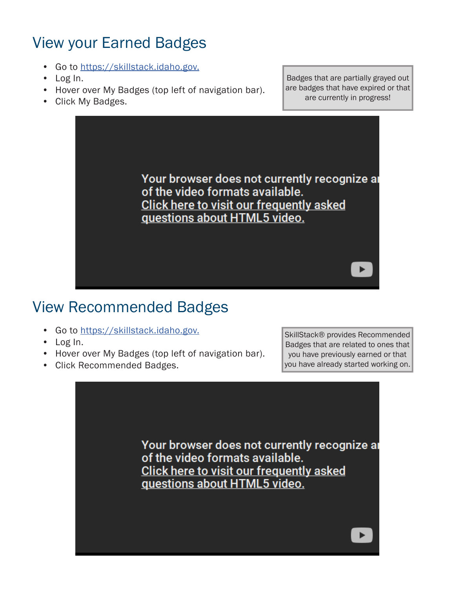### View your Earned Badges

- Go to https://skillstack.idaho.gov.
- Log In.
- Hover over My Badges (top left of navigation bar).
- Click My Badges.

Badges that are partially grayed out are badges that have expired or that are currently in progress!

Your browser does not currently recognize ar of the video formats available. Click here to visit our frequently asked questions about HTML5 video.

#### View Recommended Badges

- Go to https://skillstack.idaho.gov.
- Log In.
- Hover over My Badges (top left of navigation bar).
- Click Recommended Badges.

SkillStack® provides Recommended Badges that are related to ones that you have previously earned or that you have already started working on.

Your browser does not currently recognize ar of the video formats available. Click here to visit our frequently asked questions about HTML5 video.

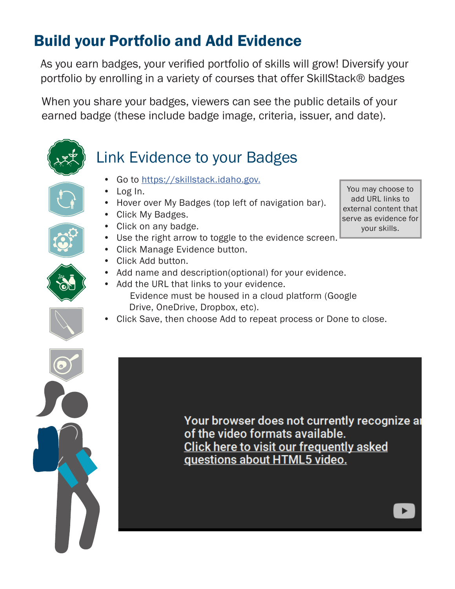### Build your Portfolio and Add Evidence

As you earn badges, your verified portfolio of skills will grow! Diversify your portfolio by enrolling in a variety of courses that offer SkillStack® badges

When you share your badges, viewers can see the public details of your earned badge (these include badge image, criteria, issuer, and date).

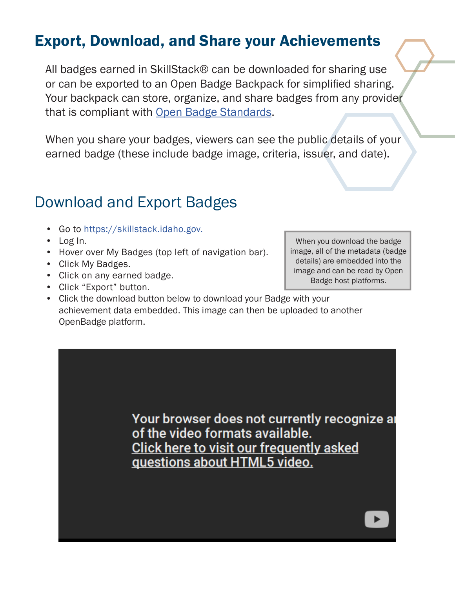#### Export, Download, and Share your Achievements

All badges earned in SkillStack® can be downloaded for sharing use or can be exported to an Open Badge Backpack for simplified sharing. Your backpack can store, organize, and share badges from any provider that is compliant with Open Badge Standards.

When you share your badges, viewers can see the public details of your earned badge (these include badge image, criteria, issuer, and date).

#### Download and Export Badges

- Go to https://skillstack.idaho.gov.
- Log In.
- Hover over My Badges (top left of navigation bar).
- Click My Badges.
- Click on any earned badge.
- Click "Export" button.

When you download the badge image, all of the metadata (badge details) are embedded into the image and can be read by Open Badge host platforms.

• Click the download button below to download your Badge with your achievement data embedded. This image can then be uploaded to another OpenBadge platform.

> Your browser does not currently recognize are of the video formats available. Click here to visit our frequently asked guestions about HTML5 video.

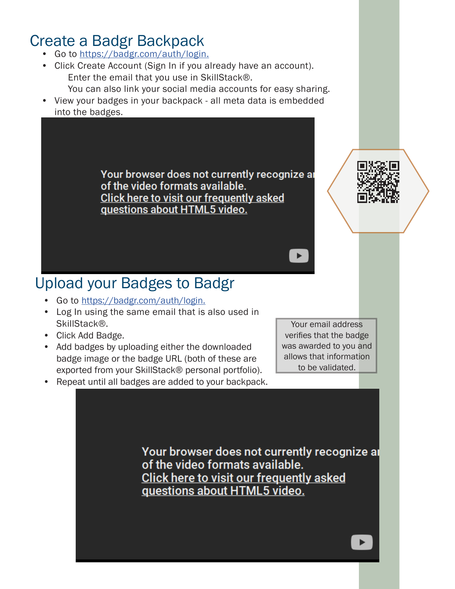#### Create a Badgr Backpack

- Go to https://badgr.com/auth/login.
- Click Create Account (Sign In if you already have an account). Enter the email that you use in SkillStack®.
- You can also link your social media accounts for easy sharing. • View your badges in your backpack - all meta data is embedded
	- into the badges.

Your browser does not currently recognize ar of the video formats available. **Click here to visit our frequently asked** questions about HTML5 video.



#### Upload your Badges to Badgr

- Go to https://badgr.com/auth/login.
- Log In using the same email that is also used in SkillStack®.
- Click Add Badge.
- Add badges by uploading either the downloaded badge image or the badge URL (both of these are exported from your SkillStack® personal portfolio).

Your email address verifies that the badge was awarded to you and allows that information to be validated.

• Repeat until all badges are added to your backpack.

Your browser does not currently recognize ar of the video formats available. **Click here to visit our frequently asked** guestions about HTML5 video.